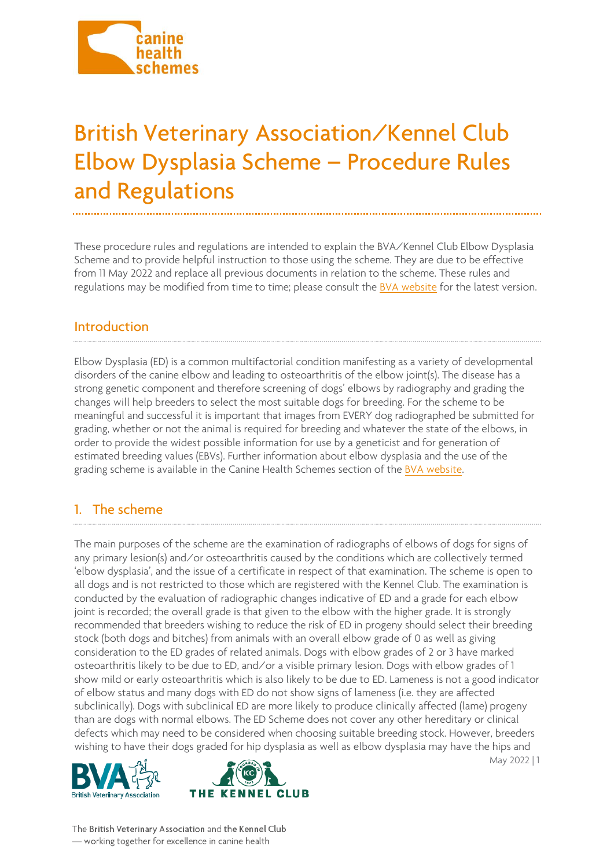

# British Veterinary Association/Kennel Club<br>Elbow Dysplasia Scheme – Procedure Rules end Requisions and Regulations

These procedure rules and regulations are intended to explain the BVA/Kennel Club Elbow Dysplasia Scheme and to provide helpful instruction to those using the scheme. They are due to be effective from 11 May 2022 and replace all previous documents in relation to the scheme. These rules and regulations may be modified from time to time; please consult the [BVA website](https://www.bva.co.uk/Canine-Health-Schemes/) for the latest version.

#### Introduction ------<del>----------</del>---

Elbow Dysplasia (ED) is a common multifactorial condition manifesting as a variety of developmental disorders of the canine elbow and leading to osteoarthritis of the elbow joint(s). The disease has a strong genetic component and therefore screening of dogs' elbows by radiography and grading the changes will help breeders to select the most suitable dogs for breeding. For the scheme to be meaningful and successful it is important that images from EVERY dog radiographed be submitted for grading, whether or not the animal is required for breeding and whatever the state of the elbows, in order to provide the widest possible information for use by a geneticist and for generation of estimated breeding values (EBVs). Further information about elbow dysplasia and the use of the grading scheme is available in the Canine Health Schemes section of th[e BVA website.](https://www.bva.co.uk/Canine-Health-Schemes/)

#### 1. The scheme 1. The scheme scheme scheme scheme scheme scheme scheme scheme scheme scheme scheme scheme scheme scheme schem<br>1. The scheme scheme scheme scheme scheme scheme scheme scheme scheme scheme scheme scheme scheme scheme schem

The main purposes of the scheme are the examination of radiographs of elbows of dogs for signs of any primary lesion(s) and/or osteoarthritis caused by the conditions which are collectively termed 'elbow dysplasia', and the issue of a certificate in respect of that examination. The scheme is open to all dogs and is not restricted to those which are registered with the Kennel Club. The examination is conducted by the evaluation of radiographic changes indicative of ED and a grade for each elbow joint is recorded; the overall grade is that given to the elbow with the higher grade. It is strongly recommended that breeders wishing to reduce the risk of ED in progeny should select their breeding stock (both dogs and bitches) from animals with an overall elbow grade of 0 as well as giving consideration to the ED grades of related animals. Dogs with elbow grades of 2 or 3 have marked osteoarthritis likely to be due to ED, and/or a visible primary lesion. Dogs with elbow grades of 1 show mild or early osteoarthritis which is also likely to be due to ED. Lameness is not a good indicator of elbow status and many dogs with ED do not show signs of lameness (i.e. they are affected subclinically). Dogs with subclinical ED are more likely to produce clinically affected (lame) progeny than are dogs with normal elbows. The ED Scheme does not cover any other hereditary or clinical defects which may need to be considered when choosing suitable breeding stock. However, breeders wishing to have their dogs graded for hip dysplasia as well as elbow dysplasia may have the hips and





May 2022 | 1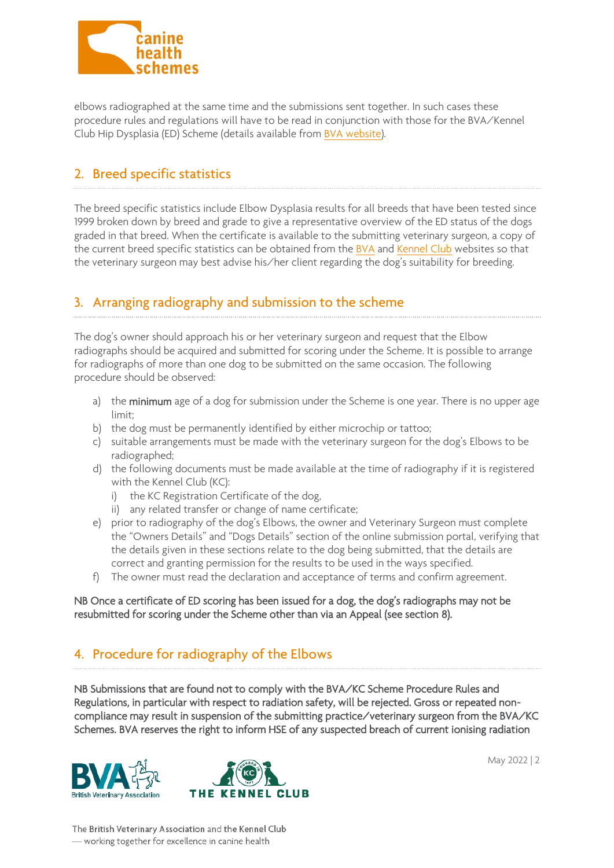

elbows radiographed at the same time and the submissions sent together. In such cases these procedure rules and regulations will have to be read in conjunction with those for the BVA/Kennel Club Hip Dysplasia (ED) Scheme (details available from [BVA website\)](https://www.bva.co.uk/Canine-Health-Schemes/).

# 2. Breed specific statistics

The breed specific statistics include Elbow Dysplasia results for all breeds that have been tested since 1999 broken down by breed and grade to give a representative overview of the ED status of the dogs graded in that breed. When the certificate is available to the submitting veterinary surgeon, a copy of the current breed specific statistics can be obtained from the [BVA](https://www.bva.co.uk/canine-health-schemes/elbow-scheme/) and [Kennel Club](https://www.thekennelclub.org.uk/media-centre/breed-registration-statistics/) websites so that the veterinary surgeon may best advise his/her client regarding the dog's suitability for breeding.

# 3. Arranging radiography and submission to the scheme

The dog's owner should approach his or her veterinary surgeon and request that the Elbow radiographs should be acquired and submitted for scoring under the Scheme. It is possible to arrange for radiographs of more than one dog to be submitted on the same occasion. The following procedure should be observed:

- a) the minimum age of a dog for submission under the Scheme is one year. There is no upper age limit;
- b) the dog must be permanently identified by either microchip or tattoo;
- c) suitable arrangements must be made with the veterinary surgeon for the dog's Elbows to be radiographed;
- d) the following documents must be made available at the time of radiography if it is registered with the Kennel Club (KC):
	- i) the KC Registration Certificate of the dog,
	- ii) any related transfer or change of name certificate;
- e) prior to radiography of the dog's Elbows, the owner and Veterinary Surgeon must complete the "Owners Details" and "Dogs Details" section of the online submission portal, verifying that the details given in these sections relate to the dog being submitted, that the details are correct and granting permission for the results to be used in the ways specified.
- f) The owner must read the declaration and acceptance of terms and confirm agreement.

NB Once a certificate of ED scoring has been issued for a dog, the dog's radiographs may not be resubmitted for scoring under the Scheme other than via an Appeal (see section 8).

## 4. Procedure for radiography of the Elbows

NB Submissions that are found not to comply with the BVA/KC Scheme Procedure Rules and Regulations, in particular with respect to radiation safety, will be rejected. Gross or repeated noncompliance may result in suspension of the submitting practice/veterinary surgeon from the BVA/KC Schemes. BVA reserves the right to inform HSE of any suspected breach of current ionising radiation





May 2022 | 2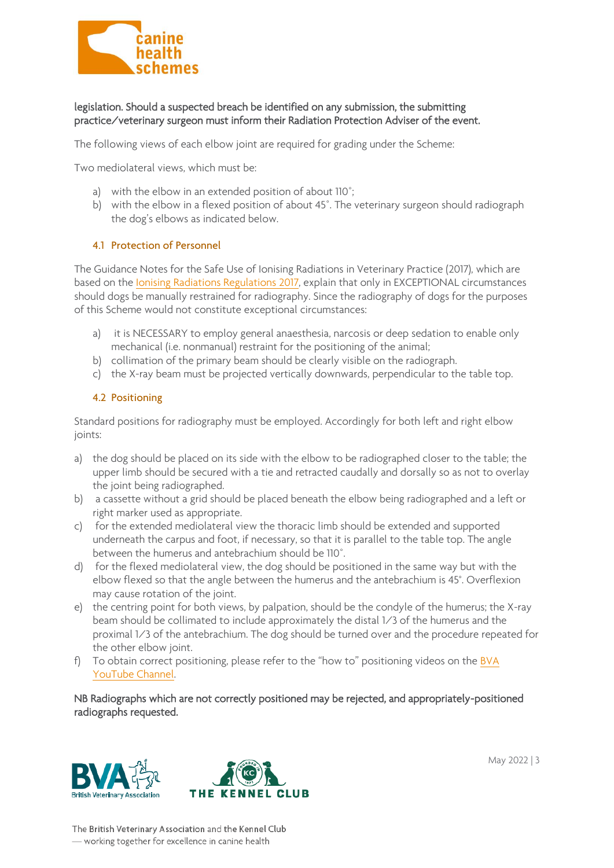

### legislation. Should a suspected breach be identified on any submission, the submitting practice/veterinary surgeon must inform their Radiation Protection Adviser of the event.

The following views of each elbow joint are required for grading under the Scheme:

Two mediolateral views, which must be:

- a) with the elbow in an extended position of about 110˚;
- b) with the elbow in a flexed position of about 45˚. The veterinary surgeon should radiograph the dog's elbows as indicated below.

#### 4.1 Protection of Personnel

The Guidance Notes for the Safe Use of Ionising Radiations in Veterinary Practice (2017), which are based on the [Ionising Radiations Regulations 2017,](https://www.bva.co.uk/resources-support/practice-management/ionising-radiations-guide/) explain that only in EXCEPTIONAL circumstances should dogs be manually restrained for radiography. Since the radiography of dogs for the purposes of this Scheme would not constitute exceptional circumstances:

- a) it is NECESSARY to employ general anaesthesia, narcosis or deep sedation to enable only mechanical (i.e. nonmanual) restraint for the positioning of the animal;
- b) collimation of the primary beam should be clearly visible on the radiograph.
- c) the X-ray beam must be projected vertically downwards, perpendicular to the table top.

#### 4.2 Positioning

Standard positions for radiography must be employed. Accordingly for both left and right elbow joints:

- a) the dog should be placed on its side with the elbow to be radiographed closer to the table; the upper limb should be secured with a tie and retracted caudally and dorsally so as not to overlay the joint being radiographed.
- b) a cassette without a grid should be placed beneath the elbow being radiographed and a left or right marker used as appropriate.
- c) for the extended mediolateral view the thoracic limb should be extended and supported underneath the carpus and foot, if necessary, so that it is parallel to the table top. The angle between the humerus and antebrachium should be 110˚.
- d) for the flexed mediolateral view, the dog should be positioned in the same way but with the elbow flexed so that the angle between the humerus and the antebrachium is 45°. Overflexion may cause rotation of the joint.
- e) the centring point for both views, by palpation, should be the condyle of the humerus; the X-ray beam should be collimated to include approximately the distal 1/3 of the humerus and the proximal 1/3 of the antebrachium. The dog should be turned over and the procedure repeated for the other elbow joint.
- f) To obtain correct positioning, please refer to the "how to" positioning videos on the BVA [YouTube Channel.](https://www.youtube.com/watch?v=JN2My4tP9YI&t=18s)

NB Radiographs which are not correctly positioned may be rejected, and appropriately-positioned radiographs requested.





May 2022 | 3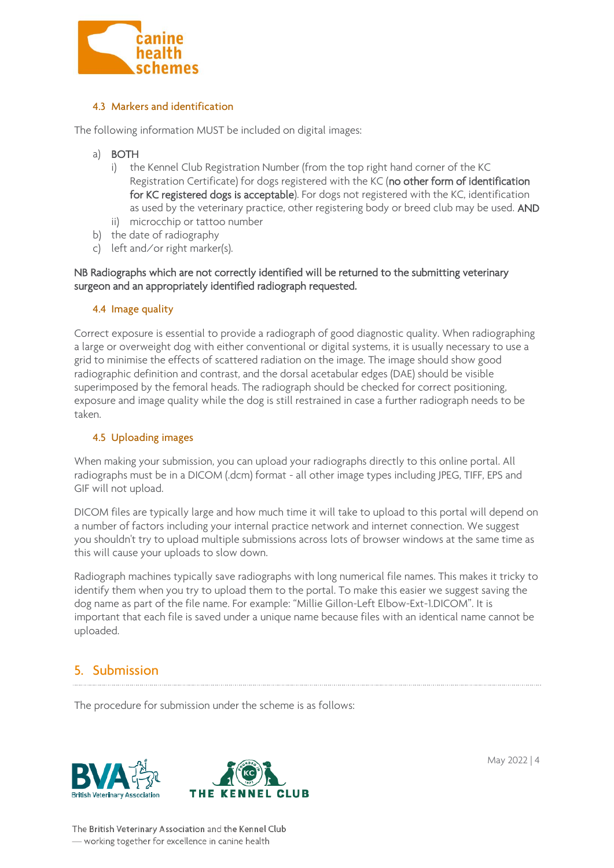

The following information MUST be included on digital images:

- a) BOTH
	- i) the Kennel Club Registration Number (from the top right hand corner of the KC Registration Certificate) for dogs registered with the KC (no other form of identification for KC registered dogs is acceptable). For dogs not registered with the KC, identification as used by the veterinary practice, other registering body or breed club may be used. AND ii) microcchip or tattoo number
- b) the date of radiography
- c) left and/or right marker(s).

#### NB Radiographs which are not correctly identified will be returned to the submitting veterinary surgeon and an appropriately identified radiograph requested.

#### 4.4 Image quality

Correct exposure is essential to provide a radiograph of good diagnostic quality. When radiographing a large or overweight dog with either conventional or digital systems, it is usually necessary to use a grid to minimise the effects of scattered radiation on the image. The image should show good radiographic definition and contrast, and the dorsal acetabular edges (DAE) should be visible superimposed by the femoral heads. The radiograph should be checked for correct positioning, exposure and image quality while the dog is still restrained in case a further radiograph needs to be taken.

#### 4.5 Uploading images

When making your submission, you can upload your radiographs directly to this online portal. All radiographs must be in a DICOM (.dcm) format - all other image types including JPEG, TIFF, EPS and GIF will not upload.

DICOM files are typically large and how much time it will take to upload to this portal will depend on a number of factors including your internal practice network and internet connection. We suggest you shouldn't try to upload multiple submissions across lots of browser windows at the same time as this will cause your uploads to slow down.

Radiograph machines typically save radiographs with long numerical file names. This makes it tricky to identify them when you try to upload them to the portal. To make this easier we suggest saving the dog name as part of the file name. For example: "Millie Gillon-Left Elbow-Ext-1.DICOM". It is important that each file is saved under a unique name because files with an identical name cannot be uploaded.

### 5. Submission **5. Submission**

The procedure for submission under the scheme is as follows:





May 2022 | 4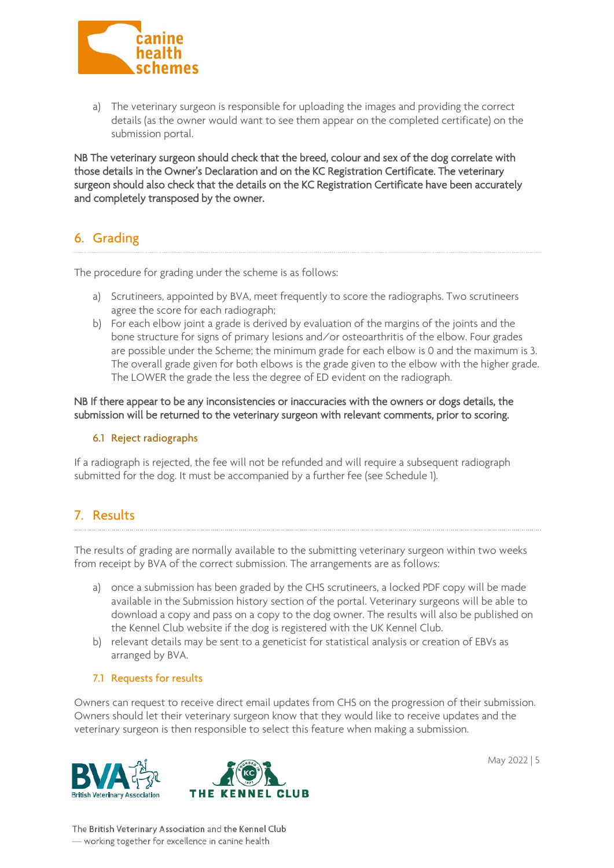

a) The veterinary surgeon is responsible for uploading the images and providing the correct details (as the owner would want to see them appear on the completed certificate) on the submission portal.

NB The veterinary surgeon should check that the breed, colour and sex of the dog correlate with those details in the Owner's Declaration and on the KC Registration Certificate. The veterinary surgeon should also check that the details on the KC Registration Certificate have been accurately and completely transposed by the owner.

# 6. Grading

The procedure for grading under the scheme is as follows:

- a) Scrutineers, appointed by BVA, meet frequently to score the radiographs. Two scrutineers agree the score for each radiograph;
- b) For each elbow joint a grade is derived by evaluation of the margins of the joints and the bone structure for signs of primary lesions and/or osteoarthritis of the elbow. Four grades are possible under the Scheme; the minimum grade for each elbow is 0 and the maximum is 3. The overall grade given for both elbows is the grade given to the elbow with the higher grade. The LOWER the grade the less the degree of ED evident on the radiograph.

NB If there appear to be any inconsistencies or inaccuracies with the owners or dogs details, the submission will be returned to the veterinary surgeon with relevant comments, prior to scoring.

#### 6.1 Reject radiographs

If a radiograph is rejected, the fee will not be refunded and will require a subsequent radiograph submitted for the dog. It must be accompanied by a further fee (see Schedule 1).

#### 7. Results 7. Results and 20

The results of grading are normally available to the submitting veterinary surgeon within two weeks from receipt by BVA of the correct submission. The arrangements are as follows:

- a) once a submission has been graded by the CHS scrutineers, a locked PDF copy will be made available in the Submission history section of the portal. Veterinary surgeons will be able to download a copy and pass on a copy to the dog owner. The results will also be published on the Kennel Club website if the dog is registered with the UK Kennel Club.
- b) relevant details may be sent to a geneticist for statistical analysis or creation of EBVs as arranged by BVA.

#### 7.1 Requests for results

Owners can request to receive direct email updates from CHS on the progression of their submission. Owners should let their veterinary surgeon know that they would like to receive updates and the veterinary surgeon is then responsible to select this feature when making a submission.





May 2022 | 5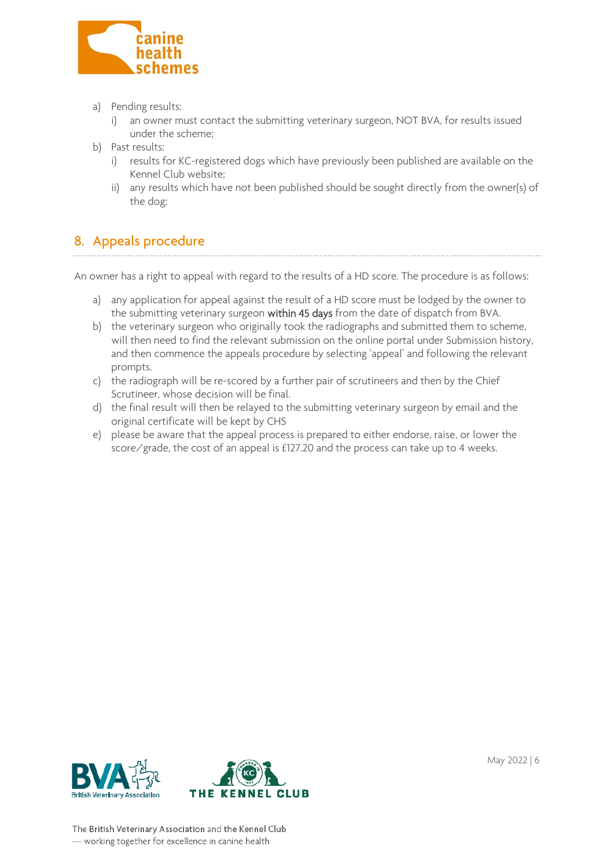

- a) Pending results:
	- i) an owner must contact the submitting veterinary surgeon, NOT BVA, for results issued under the scheme;
- b) Past results:
	- i) results for KC-registered dogs which have previously been published are available on the Kennel Club website;
	- ii) any results which have not been published should be sought directly from the owner(s) of the dog;

# 8. Appeals procedure

An owner has a right to appeal with regard to the results of a HD score. The procedure is as follows:

- a) any application for appeal against the result of a HD score must be lodged by the owner to the submitting veterinary surgeon within 45 days from the date of dispatch from BVA.
- b) the veterinary surgeon who originally took the radiographs and submitted them to scheme, will then need to find the relevant submission on the online portal under Submission history, and then commence the appeals procedure by selecting 'appeal' and following the relevant prompts.
- c) the radiograph will be re-scored by a further pair of scrutineers and then by the Chief Scrutineer, whose decision will be final.
- d) the final result will then be relayed to the submitting veterinary surgeon by email and the original certificate will be kept by CHS
- e) please be aware that the appeal process is prepared to either endorse, raise, or lower the score/grade, the cost of an appeal is £127.20 and the process can take up to 4 weeks.





May 2022 | 6